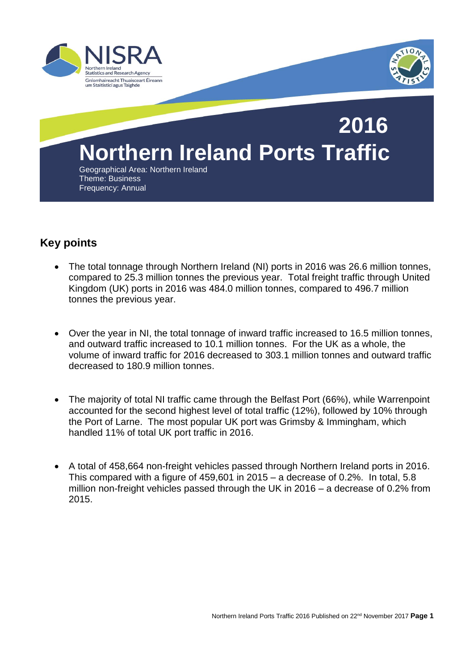



# **Northern Ireland Ports Traffic 2016**

Geographical Area: Northern Ireland Theme: Business Frequency: Annual

### **Key points**

- The total tonnage through Northern Ireland (NI) ports in 2016 was 26.6 million tonnes, compared to 25.3 million tonnes the previous year. Total freight traffic through United Kingdom (UK) ports in 2016 was 484.0 million tonnes, compared to 496.7 million tonnes the previous year.
- Over the year in NI, the total tonnage of inward traffic increased to 16.5 million tonnes, and outward traffic increased to 10.1 million tonnes. For the UK as a whole, the volume of inward traffic for 2016 decreased to 303.1 million tonnes and outward traffic decreased to 180.9 million tonnes.
- The majority of total NI traffic came through the Belfast Port (66%), while Warrenpoint accounted for the second highest level of total traffic (12%), followed by 10% through the Port of Larne. The most popular UK port was Grimsby & Immingham, which handled 11% of total UK port traffic in 2016.
- A total of 458,664 non-freight vehicles passed through Northern Ireland ports in 2016. This compared with a figure of 459,601 in 2015 – a decrease of 0.2%. In total, 5.8 million non-freight vehicles passed through the UK in 2016 – a decrease of 0.2% from 2015.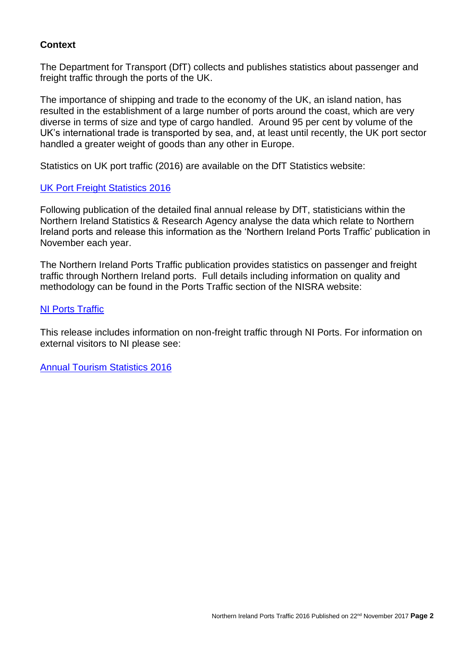### **Context**

The Department for Transport (DfT) collects and publishes statistics about passenger and freight traffic through the ports of the UK.

The importance of shipping and trade to the economy of the UK, an island nation, has resulted in the establishment of a large number of ports around the coast, which are very diverse in terms of size and type of cargo handled. Around 95 per cent by volume of the UK's international trade is transported by sea, and, at least until recently, the UK port sector handled a greater weight of goods than any other in Europe.

Statistics on UK port traffic (2016) are available on the DfT Statistics website:

### [UK Port Freight Statistics 2016](https://www.gov.uk/government/statistics/port-freight-statistics-2016-final-figures)

Following publication of the detailed final annual release by DfT, statisticians within the Northern Ireland Statistics & Research Agency analyse the data which relate to Northern Ireland ports and release this information as the 'Northern Ireland Ports Traffic' publication in November each year.

The Northern Ireland Ports Traffic publication provides statistics on passenger and freight traffic through Northern Ireland ports. Full details including information on quality and methodology can be found in the Ports Traffic section of the NISRA website:

### **[NI Ports Traffic](https://www.nisra.gov.uk/statistics/other-surveys/ports-traffic)**

This release includes information on non-freight traffic through NI Ports. For information on external visitors to NI please see[:](https://www.nisra.gov.uk/publications/annual-tourism-statistics-publications)

[Annual Tourism Statistics 2016](https://www.nisra.gov.uk/publications/annual-tourism-statistics-publications)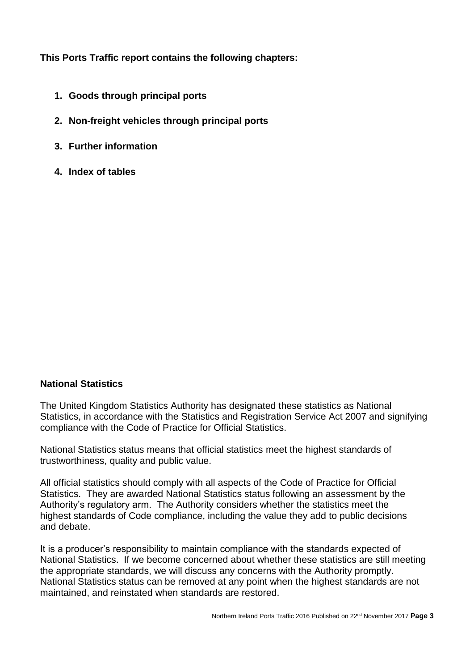**This Ports Traffic report contains the following chapters:**

- **1. Goods through principal ports**
- **2. Non-freight vehicles through principal ports**
- **3. Further information**
- **4. Index of tables**

### **National Statistics**

The United Kingdom Statistics Authority has designated these statistics as National Statistics, in accordance with the Statistics and Registration Service Act 2007 and signifying compliance with the Code of Practice for Official Statistics.

National Statistics status means that official statistics meet the highest standards of trustworthiness, quality and public value.

All official statistics should comply with all aspects of the Code of Practice for Official Statistics. They are awarded National Statistics status following an assessment by the Authority's regulatory arm. The Authority considers whether the statistics meet the highest standards of Code compliance, including the value they add to public decisions and debate.

It is a producer's responsibility to maintain compliance with the standards expected of National Statistics. If we become concerned about whether these statistics are still meeting the appropriate standards, we will discuss any concerns with the Authority promptly. National Statistics status can be removed at any point when the highest standards are not maintained, and reinstated when standards are restored.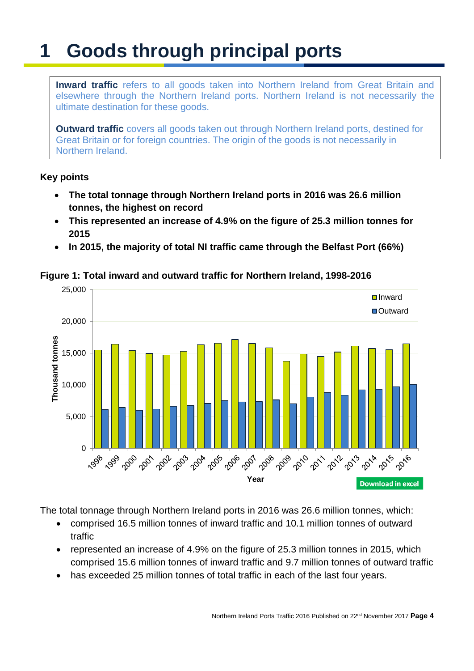## **1 Goods through principal ports**

**Inward traffic** refers to all goods taken into Northern Ireland from Great Britain and elsewhere through the Northern Ireland ports. Northern Ireland is not necessarily the ultimate destination for these goods.

**Outward traffic** covers all goods taken out through Northern Ireland ports, destined for Great Britain or for foreign countries. The origin of the goods is not necessarily in Northern Ireland.

### **Key points**

- **The total tonnage through Northern Ireland ports in 2016 was 26.6 million tonnes, the highest on record**
- **This represented an increase of 4.9% on the figure of 25.3 million tonnes for 2015**
- **In 2015, the majority of total NI traffic came through the Belfast Port (66%)**



**Figure 1: Total inward and outward traffic for Northern Ireland, 1998-2016**

The total tonnage through Northern Ireland ports in 2016 was 26.6 million tonnes, which:

- comprised 16.5 million tonnes of inward traffic and 10.1 million tonnes of outward traffic
- represented an increase of 4.9% on the figure of 25.3 million tonnes in 2015, which comprised 15.6 million tonnes of inward traffic and 9.7 million tonnes of outward traffic
- has exceeded 25 million tonnes of total traffic in each of the last four years.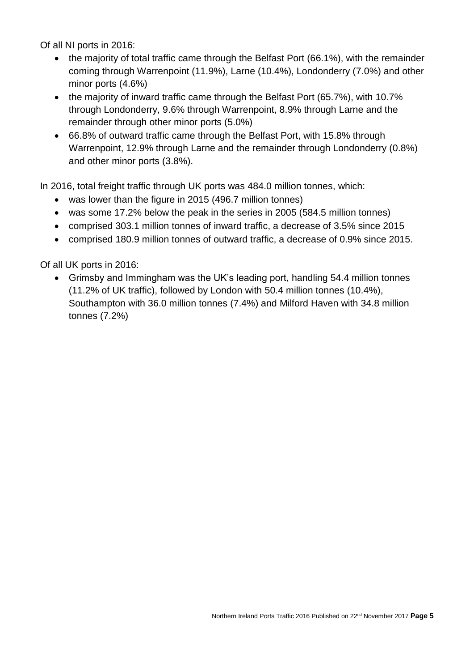Of all NI ports in 2016:

- the majority of total traffic came through the Belfast Port (66.1%), with the remainder coming through Warrenpoint (11.9%), Larne (10.4%), Londonderry (7.0%) and other minor ports (4.6%)
- the majority of inward traffic came through the Belfast Port (65.7%), with 10.7% through Londonderry, 9.6% through Warrenpoint, 8.9% through Larne and the remainder through other minor ports (5.0%)
- 66.8% of outward traffic came through the Belfast Port, with 15.8% through Warrenpoint, 12.9% through Larne and the remainder through Londonderry (0.8%) and other minor ports (3.8%).

In 2016, total freight traffic through UK ports was 484.0 million tonnes, which:

- was lower than the figure in 2015 (496.7 million tonnes)
- was some 17.2% below the peak in the series in 2005 (584.5 million tonnes)
- comprised 303.1 million tonnes of inward traffic, a decrease of 3.5% since 2015
- comprised 180.9 million tonnes of outward traffic, a decrease of 0.9% since 2015.

Of all UK ports in 2016:

 Grimsby and Immingham was the UK's leading port, handling 54.4 million tonnes (11.2% of UK traffic), followed by London with 50.4 million tonnes (10.4%), Southampton with 36.0 million tonnes (7.4%) and Milford Haven with 34.8 million tonnes (7.2%)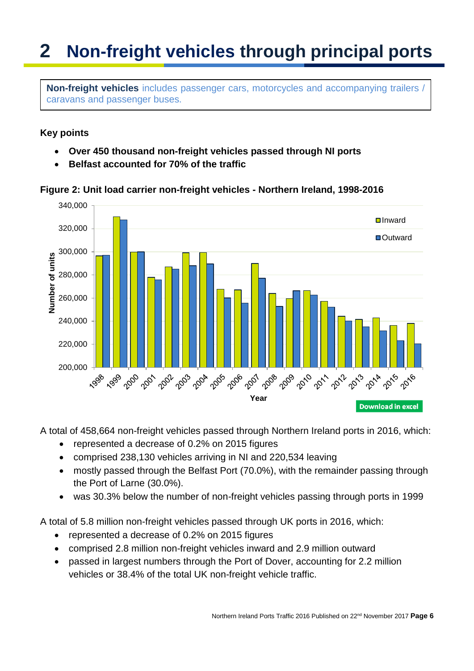## **2 Non-freight vehicles through principal ports**

**Non-freight vehicles** includes passenger cars, motorcycles and accompanying trailers / caravans and passenger buses.

### **Key points**

- **Over 450 thousand non-freight vehicles passed through NI ports**
- **Belfast accounted for 70% of the traffic**

**Figure 2: Unit load carrier non-freight vehicles - Northern Ireland, 1998-2016**



A total of 458,664 non-freight vehicles passed through Northern Ireland ports in 2016, which:

- represented a decrease of 0.2% on 2015 figures
- comprised 238,130 vehicles arriving in NI and 220,534 leaving
- mostly passed through the Belfast Port (70.0%), with the remainder passing through the Port of Larne (30.0%).
- was 30.3% below the number of non-freight vehicles passing through ports in 1999

A total of 5.8 million non-freight vehicles passed through UK ports in 2016, which:

- represented a decrease of 0.2% on 2015 figures
- comprised 2.8 million non-freight vehicles inward and 2.9 million outward
- passed in largest numbers through the Port of Dover, accounting for 2.2 million vehicles or 38.4% of the total UK non-freight vehicle traffic.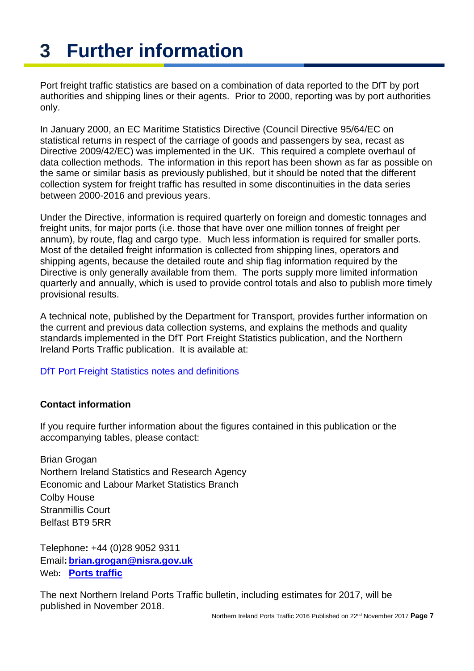## **3 Further information**

Port freight traffic statistics are based on a combination of data reported to the DfT by port authorities and shipping lines or their agents. Prior to 2000, reporting was by port authorities only.

In January 2000, an EC Maritime Statistics Directive (Council Directive 95/64/EC on statistical returns in respect of the carriage of goods and passengers by sea, recast as Directive 2009/42/EC) was implemented in the UK. This required a complete overhaul of data collection methods. The information in this report has been shown as far as possible on the same or similar basis as previously published, but it should be noted that the different collection system for freight traffic has resulted in some discontinuities in the data series between 2000-2016 and previous years.

Under the Directive, information is required quarterly on foreign and domestic tonnages and freight units, for major ports (i.e. those that have over one million tonnes of freight per annum), by route, flag and cargo type. Much less information is required for smaller ports. Most of the detailed freight information is collected from shipping lines, operators and shipping agents, because the detailed route and ship flag information required by the Directive is only generally available from them. The ports supply more limited information quarterly and annually, which is used to provide control totals and also to publish more timely provisional results.

A technical note, published by the Department for Transport, provides further information on the current and previous data collection systems, and explains the methods and quality standards implemented in the DfT Port Freight Statistics publication, and the Northern Ireland Ports Traffic publication. It is available at:

[DfT Port Freight Statistics notes and definitions](https://www.gov.uk/government/uploads/system/uploads/attachment_data/file/641322/port-statistics-technical-note.pdf)

### **Contact information**

If you require further information about the figures contained in this publication or the accompanying tables, please contact:

Brian Grogan Northern Ireland Statistics and Research Agency Economic and Labour Market Statistics Branch Colby House Stranmillis Court Belfast BT9 5RR

Telephone**:** +44 (0)28 9052 9311 Email**: [brian.grogan@nisra.gov.uk](mailto:brian.grogan@nisra.gov.uk)** Web**: [Ports traffic](https://www.nisra.gov.uk/statistics/other-surveys/ports-traffic)**

The next Northern Ireland Ports Traffic bulletin, including estimates for 2017, will be published in November 2018.